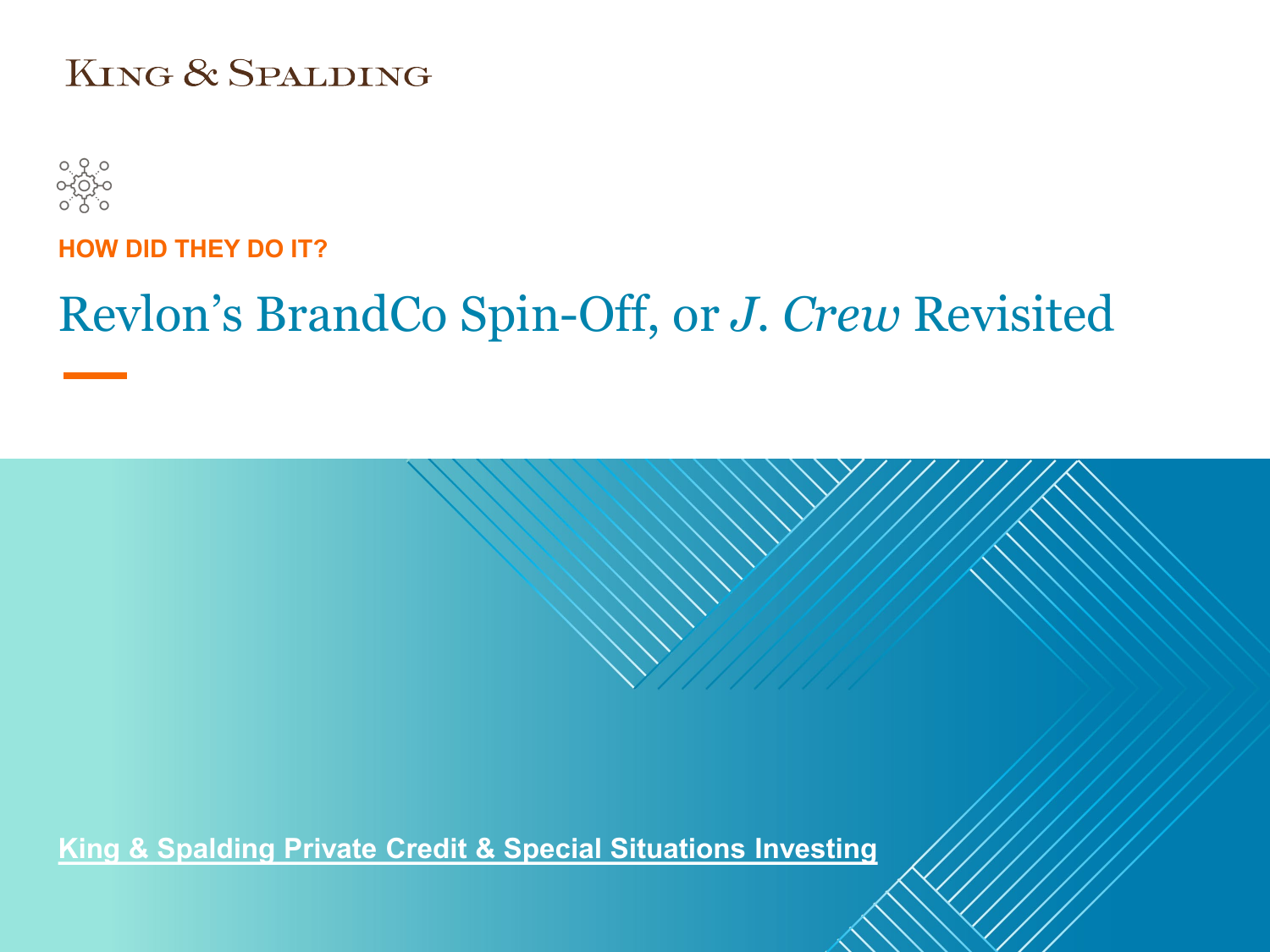#### KING & SPALDING



**HOW DID THEY DO IT?**

# Revlon's BrandCo Spin-Off, or *J. Crew* Revisited

**King & Spalding Private Credit & Special Situations Investing**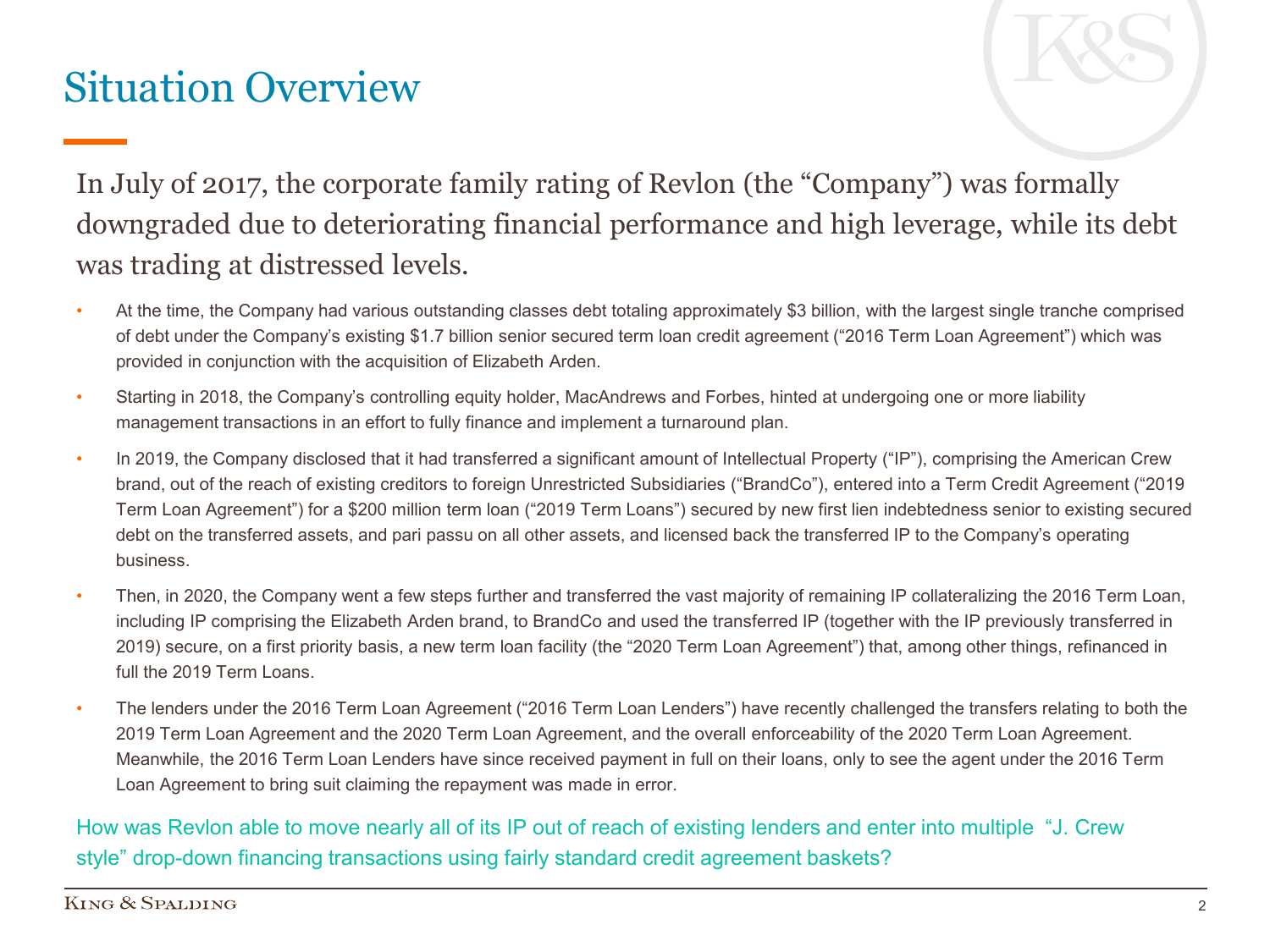### Situation Overview



In July of 2017, the corporate family rating of Revlon (the "Company") was formally downgraded due to deteriorating financial performance and high leverage, while its debt was trading at distressed levels.

- At the time, the Company had various outstanding classes debt totaling approximately \$3 billion, with the largest single tranche comprised of debt under the Company's existing \$1.7 billion senior secured term loan credit agreement ("2016 Term Loan Agreement") which was provided in conjunction with the acquisition of Elizabeth Arden.
- Starting in 2018, the Company's controlling equity holder, MacAndrews and Forbes, hinted at undergoing one or more liability management transactions in an effort to fully finance and implement a turnaround plan.
- In 2019, the Company disclosed that it had transferred a significant amount of Intellectual Property ("IP"), comprising the American Crew brand, out of the reach of existing creditors to foreign Unrestricted Subsidiaries ("BrandCo"), entered into a Term Credit Agreement ("2019 Term Loan Agreement") for a \$200 million term loan ("2019 Term Loans") secured by new first lien indebtedness senior to existing secured debt on the transferred assets, and pari passu on all other assets, and licensed back the transferred IP to the Company's operating business.
- Then, in 2020, the Company went a few steps further and transferred the vast majority of remaining IP collateralizing the 2016 Term Loan, including IP comprising the Elizabeth Arden brand, to BrandCo and used the transferred IP (together with the IP previously transferred in 2019) secure, on a first priority basis, a new term loan facility (the "2020 Term Loan Agreement") that, among other things, refinanced in full the 2019 Term Loans.
- The lenders under the 2016 Term Loan Agreement ("2016 Term Loan Lenders") have recently challenged the transfers relating to both the 2019 Term Loan Agreement and the 2020 Term Loan Agreement, and the overall enforceability of the 2020 Term Loan Agreement. Meanwhile, the 2016 Term Loan Lenders have since received payment in full on their loans, only to see the agent under the 2016 Term Loan Agreement to bring suit claiming the repayment was made in error.

How was Revlon able to move nearly all of its IP out of reach of existing lenders and enter into multiple "J. Crew style" drop-down financing transactions using fairly standard credit agreement baskets?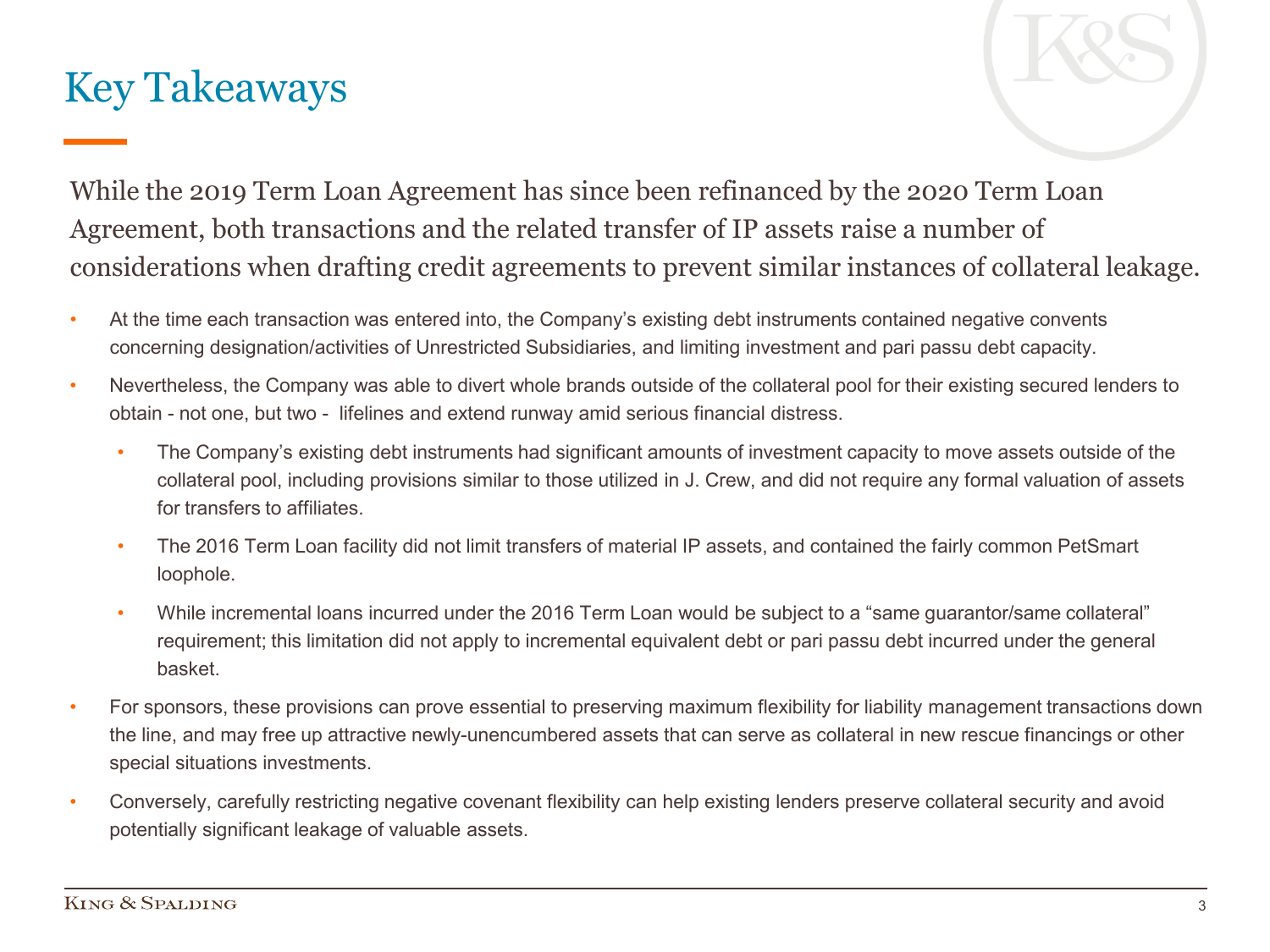### Key Takeaways

While the 2019 Term Loan Agreement has since been refinanced by the 2020 Term Loan Agreement, both transactions and the related transfer of IP assets raise a number of considerations when drafting credit agreements to prevent similar instances of collateral leakage.

- At the time each transaction was entered into, the Company's existing debt instruments contained negative convents concerning designation/activities of Unrestricted Subsidiaries, and limiting investment and pari passu debt capacity.
- Nevertheless, the Company was able to divert whole brands outside of the collateral pool for their existing secured lenders to obtain - not one, but two - lifelines and extend runway amid serious financial distress.
	- The Company's existing debt instruments had significant amounts of investment capacity to move assets outside of the collateral pool, including provisions similar to those utilized in J. Crew, and did not require any formal valuation of assets for transfers to affiliates.
	- The 2016 Term Loan facility did not limit transfers of material IP assets, and contained the fairly common PetSmart loophole.
	- While incremental loans incurred under the 2016 Term Loan would be subject to a "same guarantor/same collateral" requirement; this limitation did not apply to incremental equivalent debt or pari passu debt incurred under the general basket.
- For sponsors, these provisions can prove essential to preserving maximum flexibility for liability management transactions down the line, and may free up attractive newly-unencumbered assets that can serve as collateral in new rescue financings or other special situations investments.
- Conversely, carefully restricting negative covenant flexibility can help existing lenders preserve collateral security and avoid potentially significant leakage of valuable assets.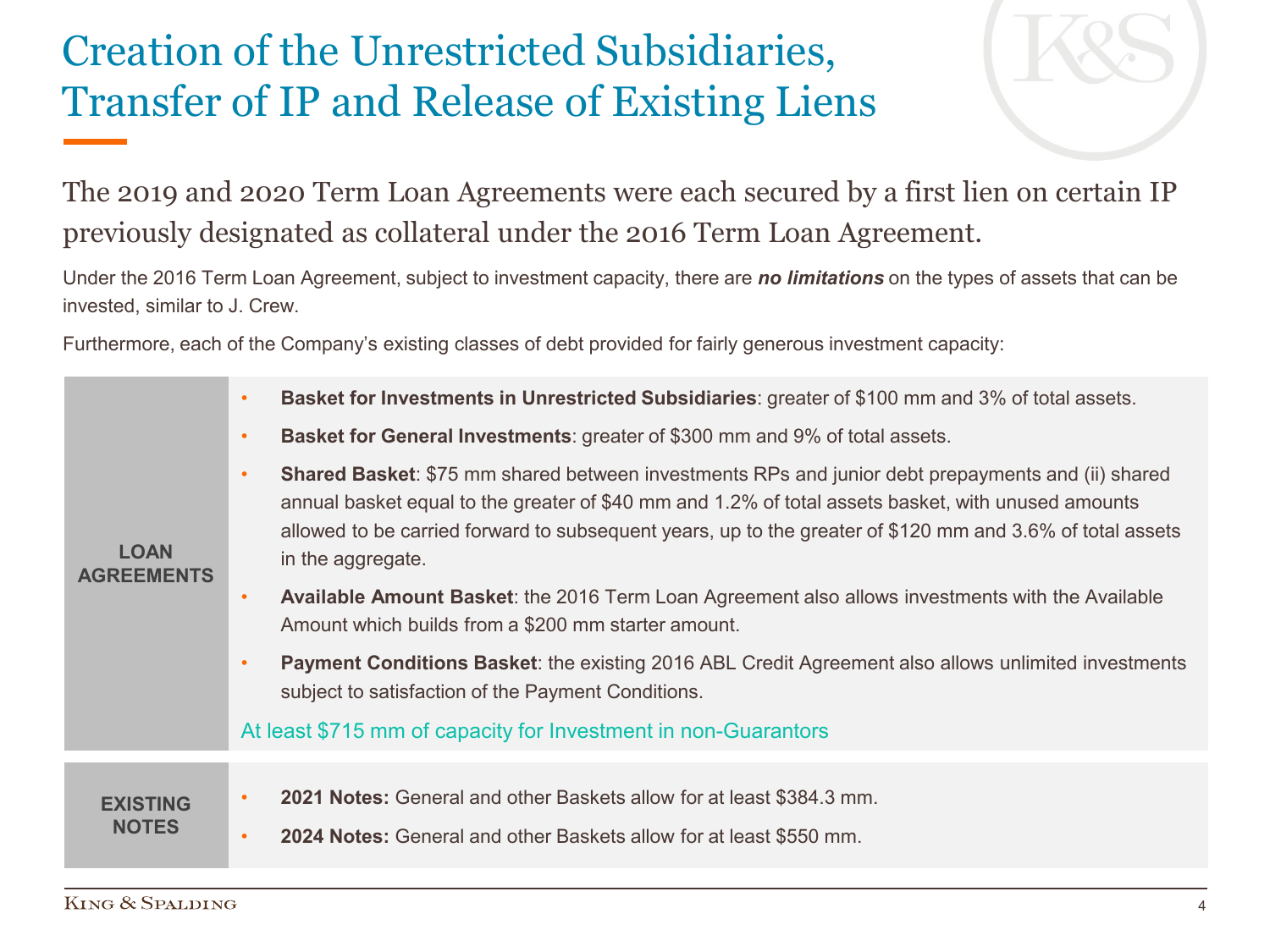# Creation of the Unrestricted Subsidiaries, Transfer of IP and Release of Existing Liens

The 2019 and 2020 Term Loan Agreements were each secured by a first lien on certain IP previously designated as collateral under the 2016 Term Loan Agreement.

Under the 2016 Term Loan Agreement, subject to investment capacity, there are *no limitations* on the types of assets that can be invested, similar to J. Crew.

Furthermore, each of the Company's existing classes of debt provided for fairly generous investment capacity:

|                                  | Basket for Investments in Unrestricted Subsidiaries: greater of \$100 mm and 3% of total assets.<br>$\bullet$                                                                                                                                                                                                                                                 |
|----------------------------------|---------------------------------------------------------------------------------------------------------------------------------------------------------------------------------------------------------------------------------------------------------------------------------------------------------------------------------------------------------------|
|                                  | <b>Basket for General Investments:</b> greater of \$300 mm and 9% of total assets.<br>$\bullet$                                                                                                                                                                                                                                                               |
| <b>LOAN</b><br><b>AGREEMENTS</b> | <b>Shared Basket:</b> \$75 mm shared between investments RPs and junior debt prepayments and (ii) shared<br>$\bullet$<br>annual basket equal to the greater of \$40 mm and 1.2% of total assets basket, with unused amounts<br>allowed to be carried forward to subsequent years, up to the greater of \$120 mm and 3.6% of total assets<br>in the aggregate. |
|                                  | Available Amount Basket: the 2016 Term Loan Agreement also allows investments with the Available<br>$\bullet$<br>Amount which builds from a \$200 mm starter amount.                                                                                                                                                                                          |
|                                  | <b>Payment Conditions Basket:</b> the existing 2016 ABL Credit Agreement also allows unlimited investments<br>$\bullet$<br>subject to satisfaction of the Payment Conditions.                                                                                                                                                                                 |
|                                  | At least \$715 mm of capacity for Investment in non-Guarantors                                                                                                                                                                                                                                                                                                |
|                                  |                                                                                                                                                                                                                                                                                                                                                               |
| <b>EXISTING</b>                  | 2021 Notes: General and other Baskets allow for at least \$384.3 mm.<br>$\bullet$                                                                                                                                                                                                                                                                             |
| <b>NOTES</b>                     | 2024 Notes: General and other Baskets allow for at least \$550 mm.<br>$\bullet$                                                                                                                                                                                                                                                                               |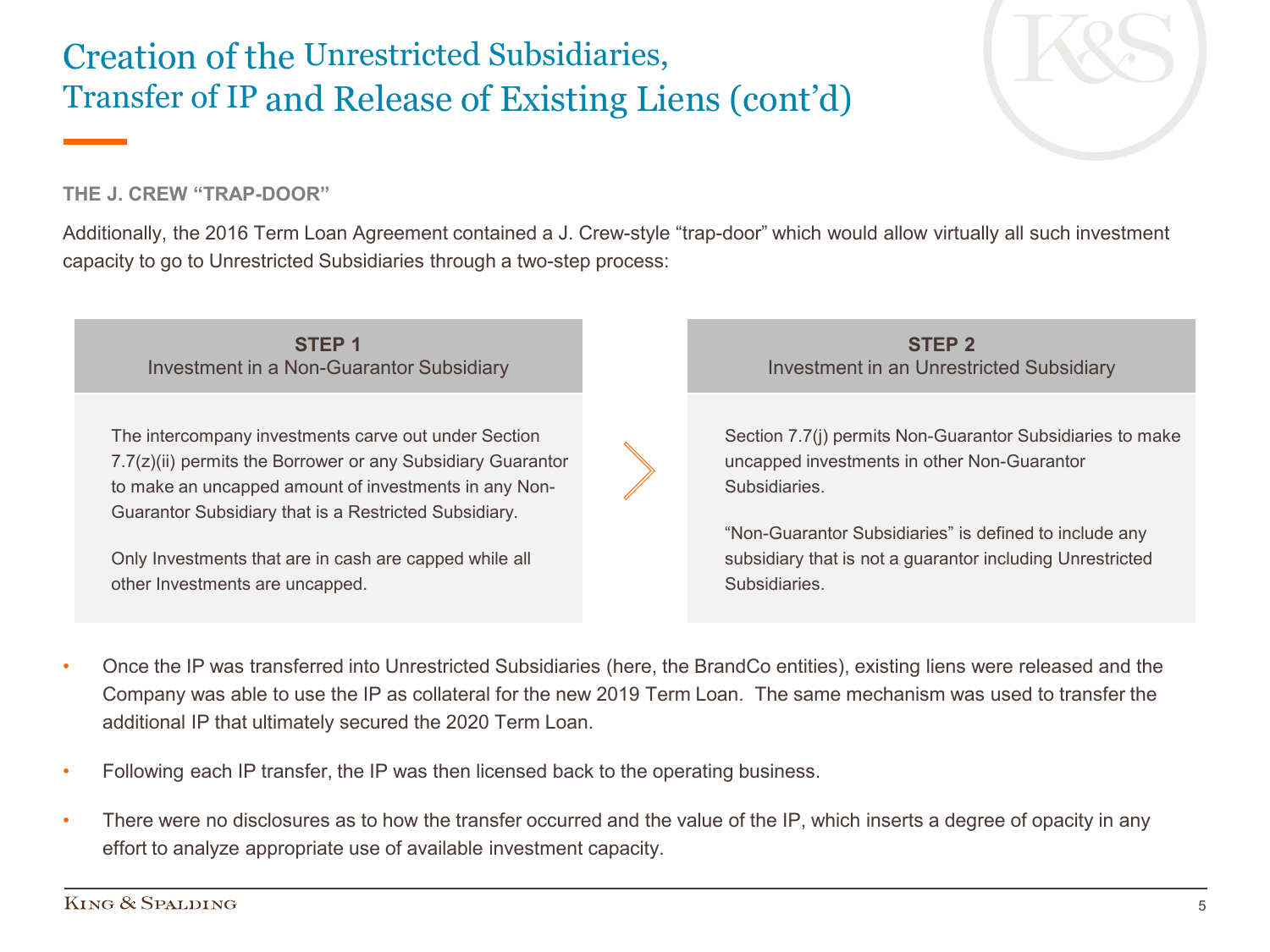#### Creation of the Unrestricted Subsidiaries, Transfer of IP and Release of Existing Liens (cont'd)

#### **THE J. CREW "TRAP-DOOR"**

Additionally, the 2016 Term Loan Agreement contained a J. Crew-style "trap-door" which would allow virtually all such investment capacity to go to Unrestricted Subsidiaries through a two-step process:

**STEP 1** Investment in a Non-Guarantor Subsidiary

The intercompany investments carve out under Section 7.7(z)(ii) permits the Borrower or any Subsidiary Guarantor to make an uncapped amount of investments in any Non-Guarantor Subsidiary that is a Restricted Subsidiary.

Only Investments that are in cash are capped while all other Investments are uncapped.

**STEP 2** Investment in an Unrestricted Subsidiary

Section 7.7(j) permits Non-Guarantor Subsidiaries to make uncapped investments in other Non-Guarantor Subsidiaries.

"Non-Guarantor Subsidiaries" is defined to include any subsidiary that is not a guarantor including Unrestricted Subsidiaries.

- Once the IP was transferred into Unrestricted Subsidiaries (here, the BrandCo entities), existing liens were released and the Company was able to use the IP as collateral for the new 2019 Term Loan. The same mechanism was used to transfer the additional IP that ultimately secured the 2020 Term Loan.
- Following each IP transfer, the IP was then licensed back to the operating business.
- There were no disclosures as to how the transfer occurred and the value of the IP, which inserts a degree of opacity in any effort to analyze appropriate use of available investment capacity.

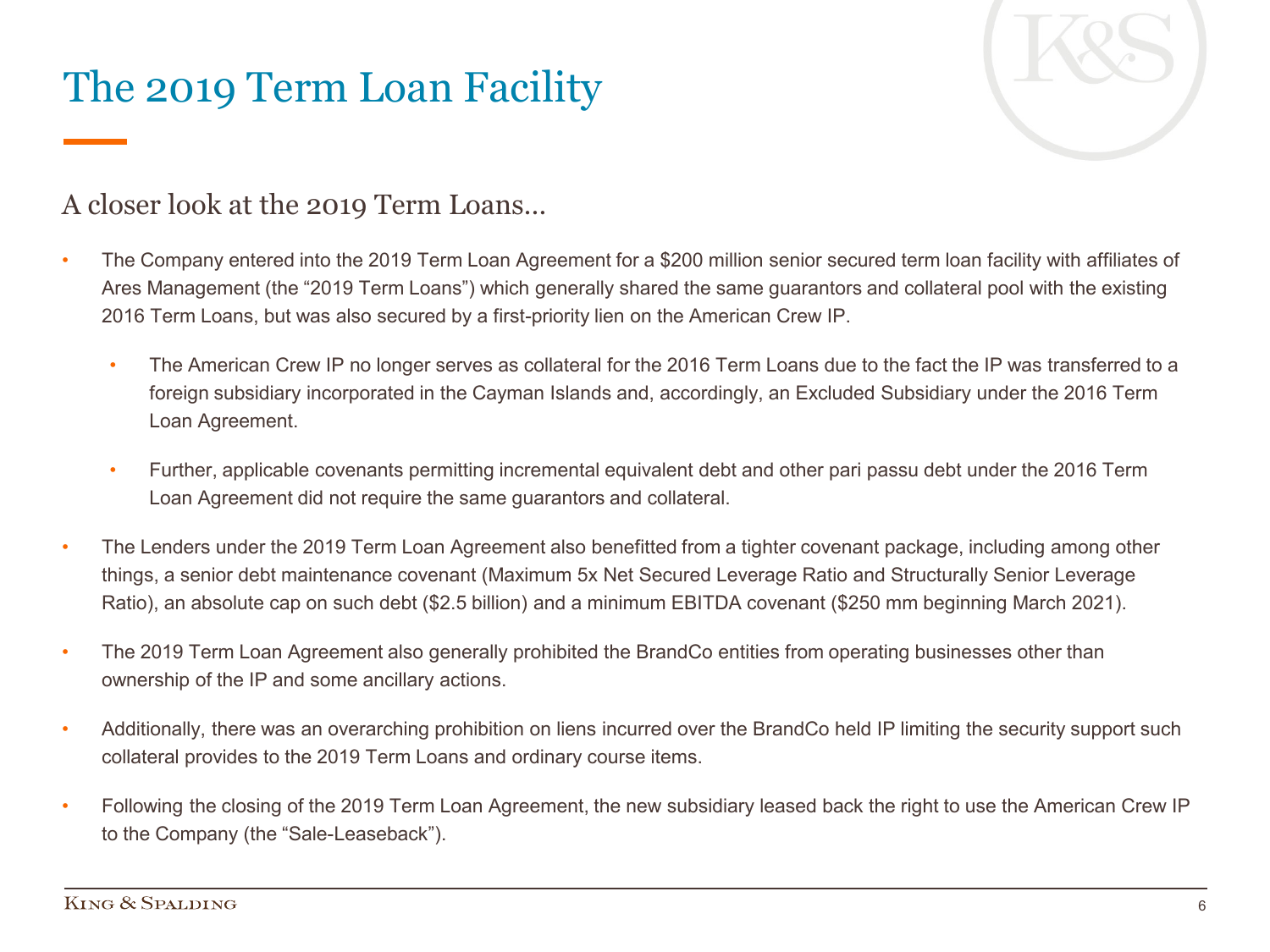# The 2019 Term Loan Facility



#### A closer look at the 2019 Term Loans…

- The Company entered into the 2019 Term Loan Agreement for a \$200 million senior secured term loan facility with affiliates of Ares Management (the "2019 Term Loans") which generally shared the same guarantors and collateral pool with the existing 2016 Term Loans, but was also secured by a first-priority lien on the American Crew IP.
	- The American Crew IP no longer serves as collateral for the 2016 Term Loans due to the fact the IP was transferred to a foreign subsidiary incorporated in the Cayman Islands and, accordingly, an Excluded Subsidiary under the 2016 Term Loan Agreement.
	- Further, applicable covenants permitting incremental equivalent debt and other pari passu debt under the 2016 Term Loan Agreement did not require the same guarantors and collateral.
- The Lenders under the 2019 Term Loan Agreement also benefitted from a tighter covenant package, including among other things, a senior debt maintenance covenant (Maximum 5x Net Secured Leverage Ratio and Structurally Senior Leverage Ratio), an absolute cap on such debt (\$2.5 billion) and a minimum EBITDA covenant (\$250 mm beginning March 2021).
- The 2019 Term Loan Agreement also generally prohibited the BrandCo entities from operating businesses other than ownership of the IP and some ancillary actions.
- Additionally, there was an overarching prohibition on liens incurred over the BrandCo held IP limiting the security support such collateral provides to the 2019 Term Loans and ordinary course items.
- Following the closing of the 2019 Term Loan Agreement, the new subsidiary leased back the right to use the American Crew IP to the Company (the "Sale-Leaseback").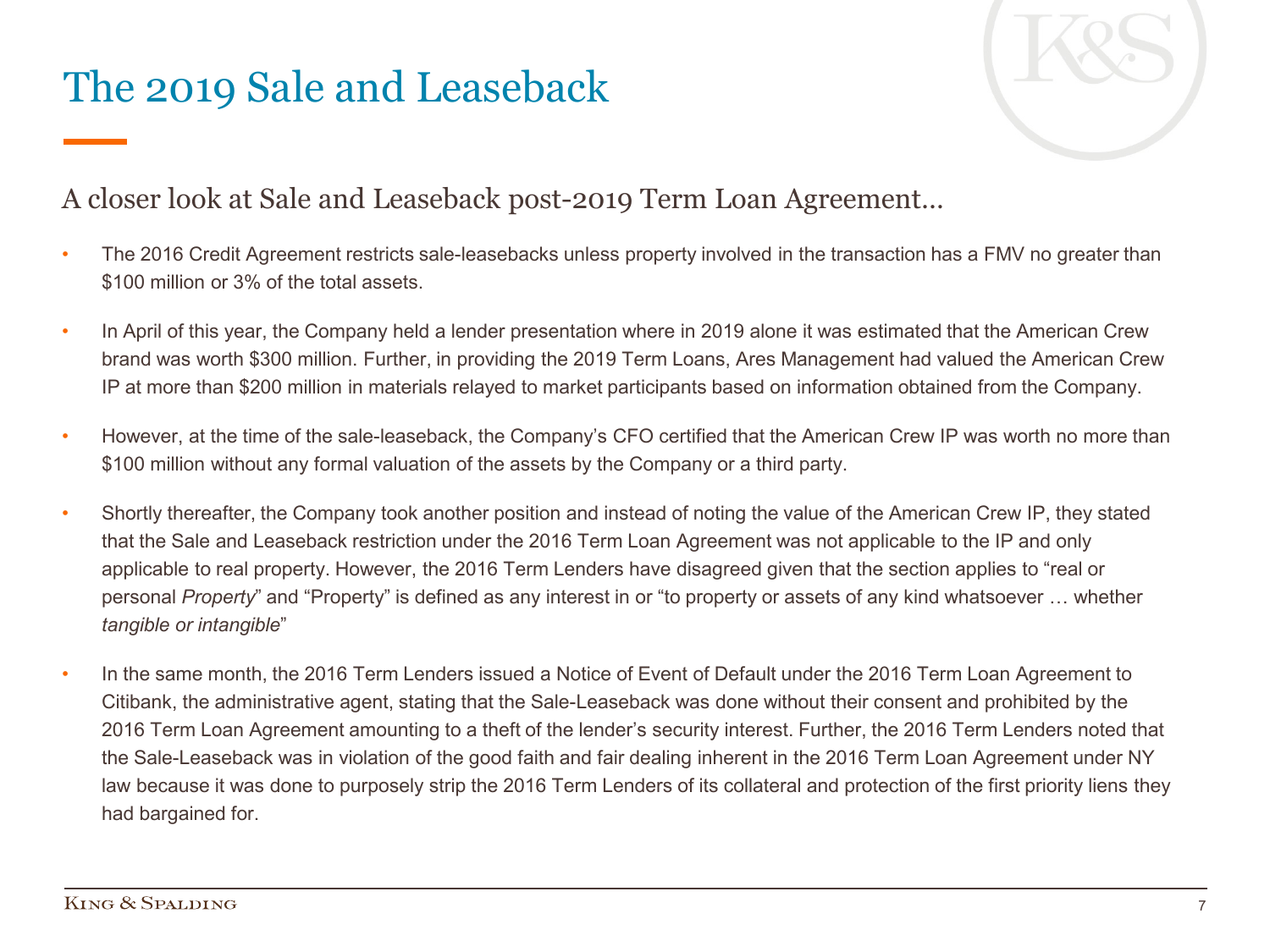# The 2019 Sale and Leaseback



#### A closer look at Sale and Leaseback post-2019 Term Loan Agreement…

- The 2016 Credit Agreement restricts sale-leasebacks unless property involved in the transaction has a FMV no greater than \$100 million or 3% of the total assets.
- In April of this year, the Company held a lender presentation where in 2019 alone it was estimated that the American Crew brand was worth \$300 million. Further, in providing the 2019 Term Loans, Ares Management had valued the American Crew IP at more than \$200 million in materials relayed to market participants based on information obtained from the Company.
- However, at the time of the sale-leaseback, the Company's CFO certified that the American Crew IP was worth no more than \$100 million without any formal valuation of the assets by the Company or a third party.
- Shortly thereafter, the Company took another position and instead of noting the value of the American Crew IP, they stated that the Sale and Leaseback restriction under the 2016 Term Loan Agreement was not applicable to the IP and only applicable to real property. However, the 2016 Term Lenders have disagreed given that the section applies to "real or personal *Property*" and "Property" is defined as any interest in or "to property or assets of any kind whatsoever … whether *tangible or intangible*"
- In the same month, the 2016 Term Lenders issued a Notice of Event of Default under the 2016 Term Loan Agreement to Citibank, the administrative agent, stating that the Sale-Leaseback was done without their consent and prohibited by the 2016 Term Loan Agreement amounting to a theft of the lender's security interest. Further, the 2016 Term Lenders noted that the Sale-Leaseback was in violation of the good faith and fair dealing inherent in the 2016 Term Loan Agreement under NY law because it was done to purposely strip the 2016 Term Lenders of its collateral and protection of the first priority liens they had bargained for.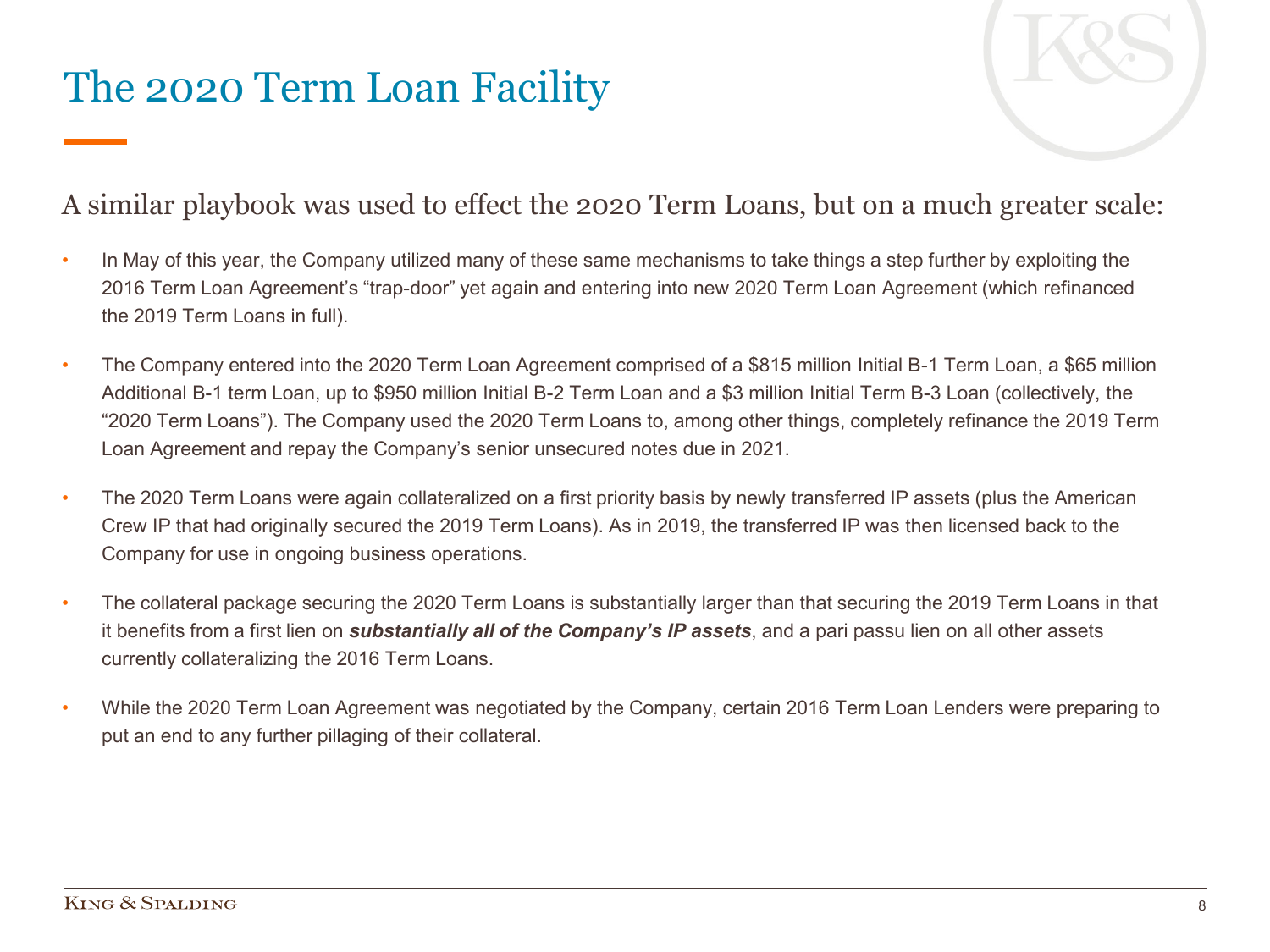### The 2020 Term Loan Facility

#### A similar playbook was used to effect the 2020 Term Loans, but on a much greater scale:

- In May of this year, the Company utilized many of these same mechanisms to take things a step further by exploiting the 2016 Term Loan Agreement's "trap-door" yet again and entering into new 2020 Term Loan Agreement (which refinanced the 2019 Term Loans in full).
- The Company entered into the 2020 Term Loan Agreement comprised of a \$815 million Initial B-1 Term Loan, a \$65 million Additional B-1 term Loan, up to \$950 million Initial B-2 Term Loan and a \$3 million Initial Term B-3 Loan (collectively, the "2020 Term Loans"). The Company used the 2020 Term Loans to, among other things, completely refinance the 2019 Term Loan Agreement and repay the Company's senior unsecured notes due in 2021.
- The 2020 Term Loans were again collateralized on a first priority basis by newly transferred IP assets (plus the American Crew IP that had originally secured the 2019 Term Loans). As in 2019, the transferred IP was then licensed back to the Company for use in ongoing business operations.
- The collateral package securing the 2020 Term Loans is substantially larger than that securing the 2019 Term Loans in that it benefits from a first lien on *substantially all of the Company's IP assets*, and a pari passu lien on all other assets currently collateralizing the 2016 Term Loans.
- While the 2020 Term Loan Agreement was negotiated by the Company, certain 2016 Term Loan Lenders were preparing to put an end to any further pillaging of their collateral.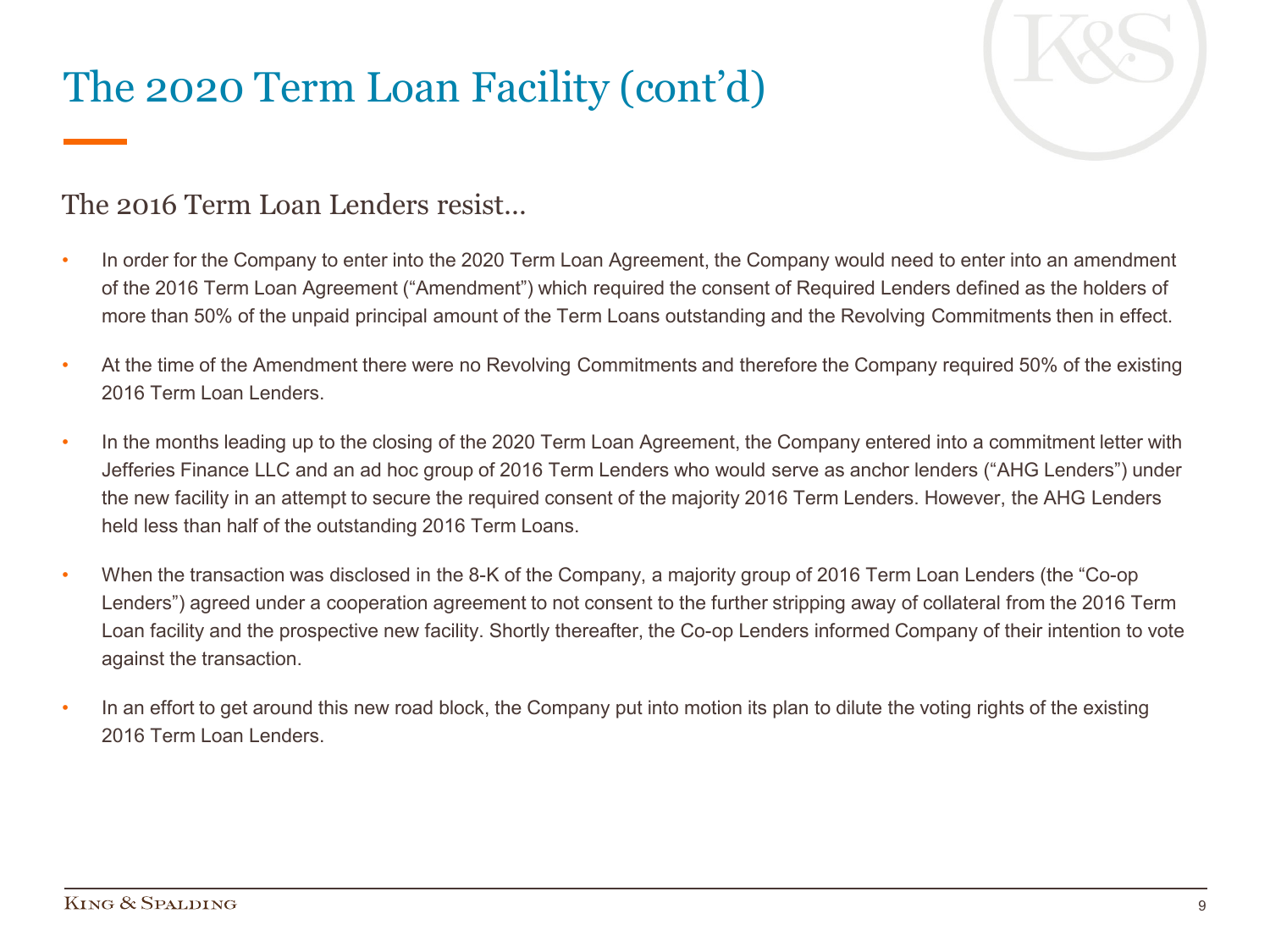# The 2020 Term Loan Facility (cont'd)



#### The 2016 Term Loan Lenders resist…

- In order for the Company to enter into the 2020 Term Loan Agreement, the Company would need to enter into an amendment of the 2016 Term Loan Agreement ("Amendment") which required the consent of Required Lenders defined as the holders of more than 50% of the unpaid principal amount of the Term Loans outstanding and the Revolving Commitments then in effect.
- At the time of the Amendment there were no Revolving Commitments and therefore the Company required 50% of the existing 2016 Term Loan Lenders.
- In the months leading up to the closing of the 2020 Term Loan Agreement, the Company entered into a commitment letter with Jefferies Finance LLC and an ad hoc group of 2016 Term Lenders who would serve as anchor lenders ("AHG Lenders") under the new facility in an attempt to secure the required consent of the majority 2016 Term Lenders. However, the AHG Lenders held less than half of the outstanding 2016 Term Loans.
- When the transaction was disclosed in the 8-K of the Company, a majority group of 2016 Term Loan Lenders (the "Co-op Lenders") agreed under a cooperation agreement to not consent to the further stripping away of collateral from the 2016 Term Loan facility and the prospective new facility. Shortly thereafter, the Co-op Lenders informed Company of their intention to vote against the transaction.
- In an effort to get around this new road block, the Company put into motion its plan to dilute the voting rights of the existing 2016 Term Loan Lenders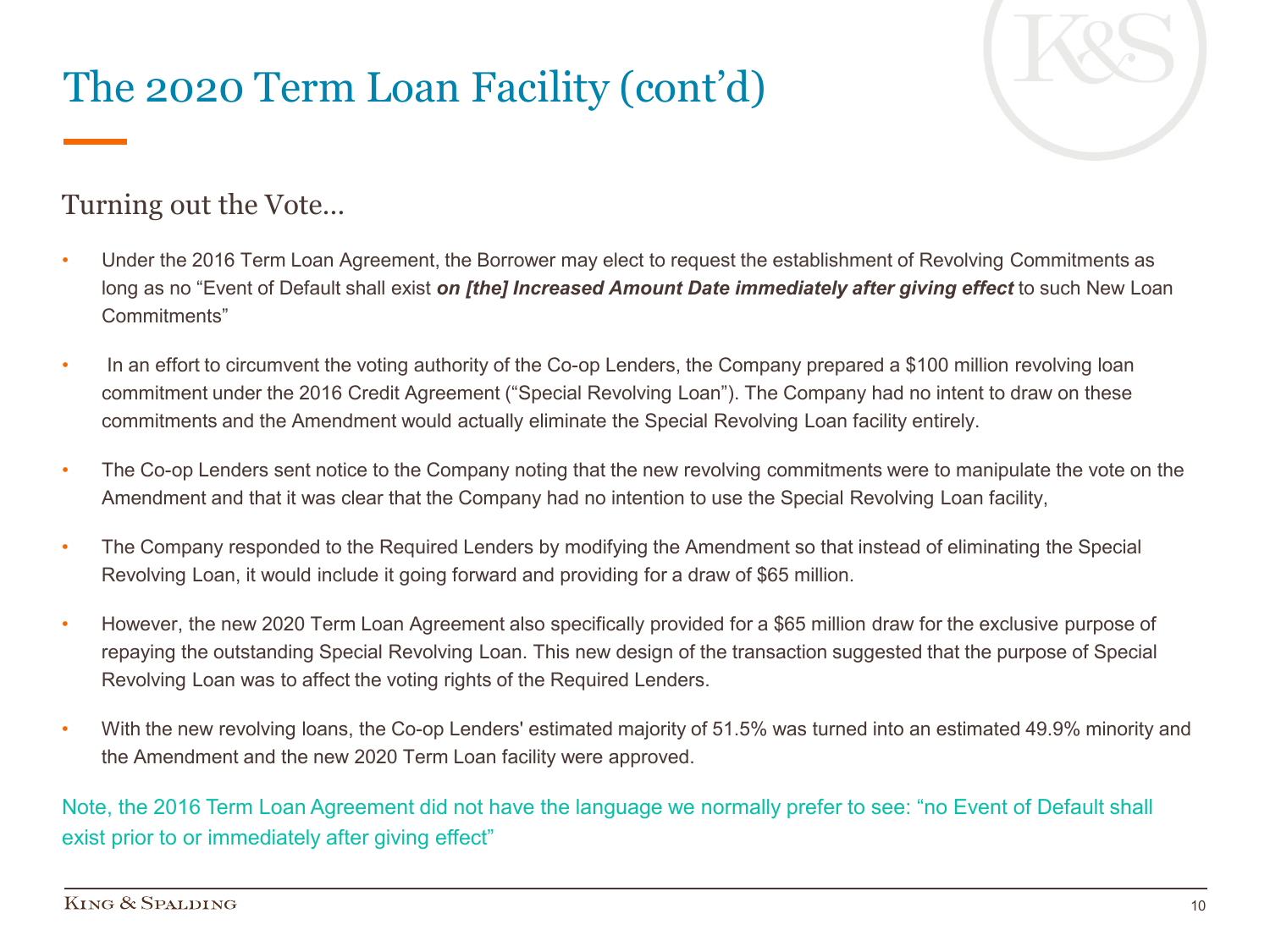# The 2020 Term Loan Facility (cont'd)



#### Turning out the Vote…

- Under the 2016 Term Loan Agreement, the Borrower may elect to request the establishment of Revolving Commitments as long as no "Event of Default shall exist *on [the] Increased Amount Date immediately after giving effect* to such New Loan Commitments"
- In an effort to circumvent the voting authority of the Co-op Lenders, the Company prepared a \$100 million revolving loan commitment under the 2016 Credit Agreement ("Special Revolving Loan"). The Company had no intent to draw on these commitments and the Amendment would actually eliminate the Special Revolving Loan facility entirely.
- The Co-op Lenders sent notice to the Company noting that the new revolving commitments were to manipulate the vote on the Amendment and that it was clear that the Company had no intention to use the Special Revolving Loan facility,
- The Company responded to the Required Lenders by modifying the Amendment so that instead of eliminating the Special Revolving Loan, it would include it going forward and providing for a draw of \$65 million.
- However, the new 2020 Term Loan Agreement also specifically provided for a \$65 million draw for the exclusive purpose of repaying the outstanding Special Revolving Loan. This new design of the transaction suggested that the purpose of Special Revolving Loan was to affect the voting rights of the Required Lenders.
- With the new revolving loans, the Co-op Lenders' estimated majority of 51.5% was turned into an estimated 49.9% minority and the Amendment and the new 2020 Term Loan facility were approved.

Note, the 2016 Term Loan Agreement did not have the language we normally prefer to see: "no Event of Default shall exist prior to or immediately after giving effect"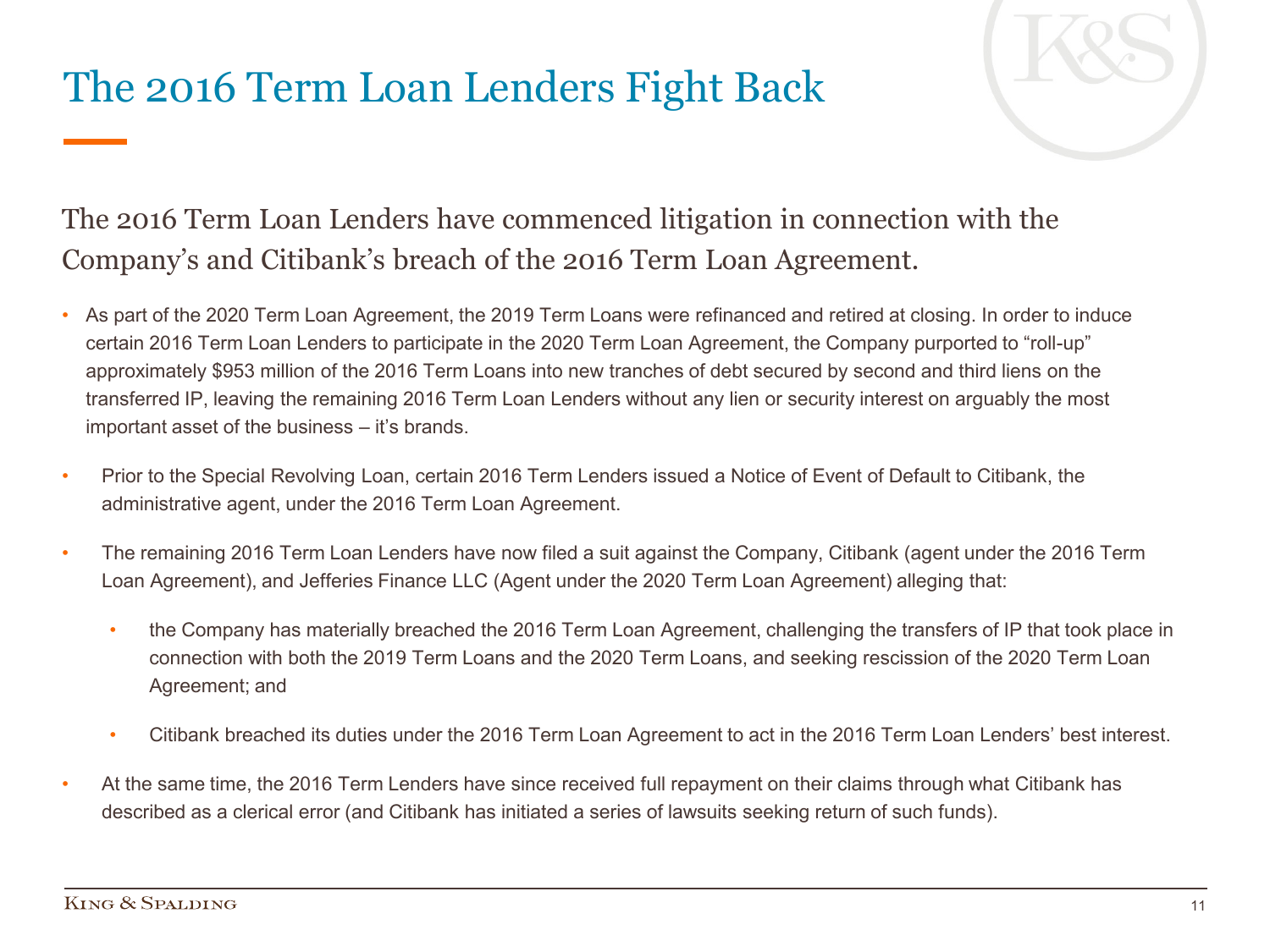### The 2016 Term Loan Lenders Fight Back

#### The 2016 Term Loan Lenders have commenced litigation in connection with the Company's and Citibank's breach of the 2016 Term Loan Agreement.

- As part of the 2020 Term Loan Agreement, the 2019 Term Loans were refinanced and retired at closing. In order to induce certain 2016 Term Loan Lenders to participate in the 2020 Term Loan Agreement, the Company purported to "roll-up" approximately \$953 million of the 2016 Term Loans into new tranches of debt secured by second and third liens on the transferred IP, leaving the remaining 2016 Term Loan Lenders without any lien or security interest on arguably the most important asset of the business – it's brands.
- Prior to the Special Revolving Loan, certain 2016 Term Lenders issued a Notice of Event of Default to Citibank, the administrative agent, under the 2016 Term Loan Agreement.
- The remaining 2016 Term Loan Lenders have now filed a suit against the Company, Citibank (agent under the 2016 Term Loan Agreement), and Jefferies Finance LLC (Agent under the 2020 Term Loan Agreement) alleging that:
	- the Company has materially breached the 2016 Term Loan Agreement, challenging the transfers of IP that took place in connection with both the 2019 Term Loans and the 2020 Term Loans, and seeking rescission of the 2020 Term Loan Agreement; and
	- Citibank breached its duties under the 2016 Term Loan Agreement to act in the 2016 Term Loan Lenders' best interest.
- At the same time, the 2016 Term Lenders have since received full repayment on their claims through what Citibank has described as a clerical error (and Citibank has initiated a series of lawsuits seeking return of such funds).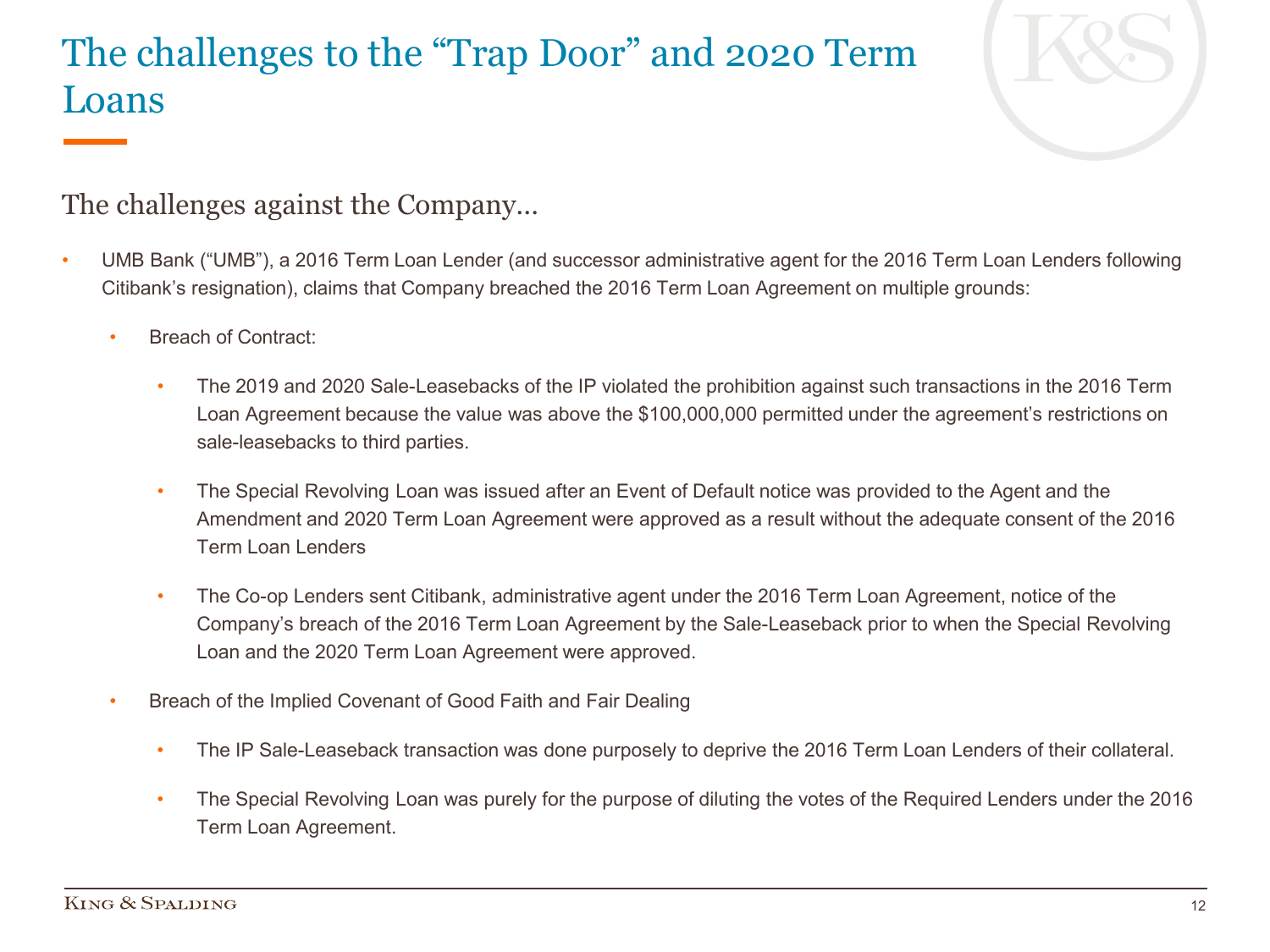### The challenges to the "Trap Door" and 2020 Term Loans



The challenges against the Company…

- UMB Bank ("UMB"), a 2016 Term Loan Lender (and successor administrative agent for the 2016 Term Loan Lenders following Citibank's resignation), claims that Company breached the 2016 Term Loan Agreement on multiple grounds:
	- Breach of Contract:
		- The 2019 and 2020 Sale-Leasebacks of the IP violated the prohibition against such transactions in the 2016 Term Loan Agreement because the value was above the \$100,000,000 permitted under the agreement's restrictions on sale-leasebacks to third parties.
		- The Special Revolving Loan was issued after an Event of Default notice was provided to the Agent and the Amendment and 2020 Term Loan Agreement were approved as a result without the adequate consent of the 2016 Term Loan Lenders
		- The Co-op Lenders sent Citibank, administrative agent under the 2016 Term Loan Agreement, notice of the Company's breach of the 2016 Term Loan Agreement by the Sale-Leaseback prior to when the Special Revolving Loan and the 2020 Term Loan Agreement were approved.
	- Breach of the Implied Covenant of Good Faith and Fair Dealing
		- The IP Sale-Leaseback transaction was done purposely to deprive the 2016 Term Loan Lenders of their collateral.
		- The Special Revolving Loan was purely for the purpose of diluting the votes of the Required Lenders under the 2016 Term Loan Agreement.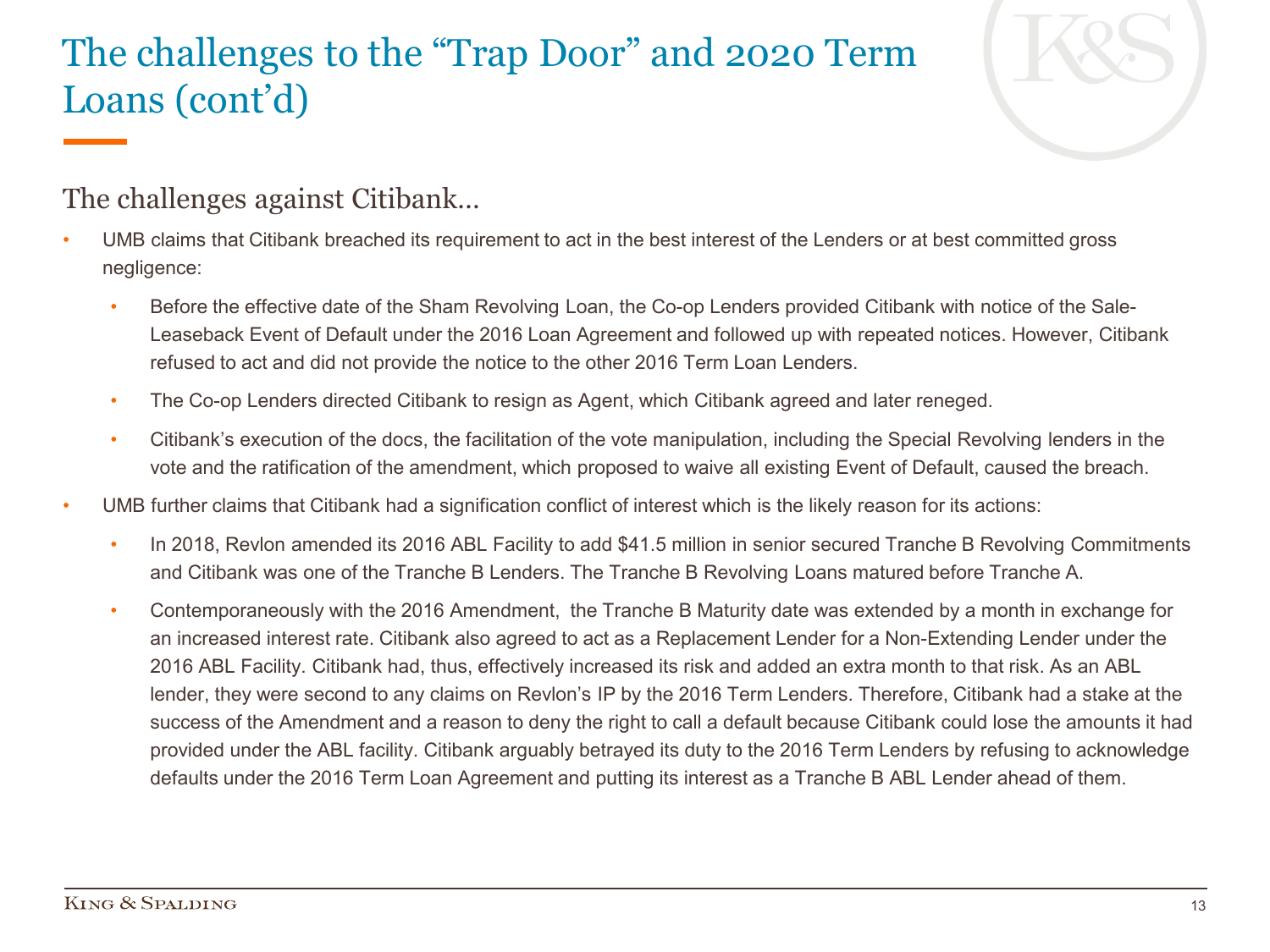### The challenges to the "Trap Door" and 2020 Term Loans (cont'd)



#### The challenges against Citibank…

- UMB claims that Citibank breached its requirement to act in the best interest of the Lenders or at best committed gross negligence:
	- Before the effective date of the Sham Revolving Loan, the Co-op Lenders provided Citibank with notice of the Sale-Leaseback Event of Default under the 2016 Loan Agreement and followed up with repeated notices. However, Citibank refused to act and did not provide the notice to the other 2016 Term Loan Lenders.
	- The Co-op Lenders directed Citibank to resign as Agent, which Citibank agreed and later reneged.
	- Citibank's execution of the docs, the facilitation of the vote manipulation, including the Special Revolving lenders in the vote and the ratification of the amendment, which proposed to waive all existing Event of Default, caused the breach.
- UMB further claims that Citibank had a signification conflict of interest which is the likely reason for its actions:
	- In 2018, Revlon amended its 2016 ABL Facility to add \$41.5 million in senior secured Tranche B Revolving Commitments and Citibank was one of the Tranche B Lenders. The Tranche B Revolving Loans matured before Tranche A.
	- Contemporaneously with the 2016 Amendment, the Tranche B Maturity date was extended by a month in exchange for an increased interest rate. Citibank also agreed to act as a Replacement Lender for a Non-Extending Lender under the 2016 ABL Facility. Citibank had, thus, effectively increased its risk and added an extra month to that risk. As an ABL lender, they were second to any claims on Revlon's IP by the 2016 Term Lenders. Therefore, Citibank had a stake at the success of the Amendment and a reason to deny the right to call a default because Citibank could lose the amounts it had provided under the ABL facility. Citibank arguably betrayed its duty to the 2016 Term Lenders by refusing to acknowledge defaults under the 2016 Term Loan Agreement and putting its interest as a Tranche B ABL Lender ahead of them.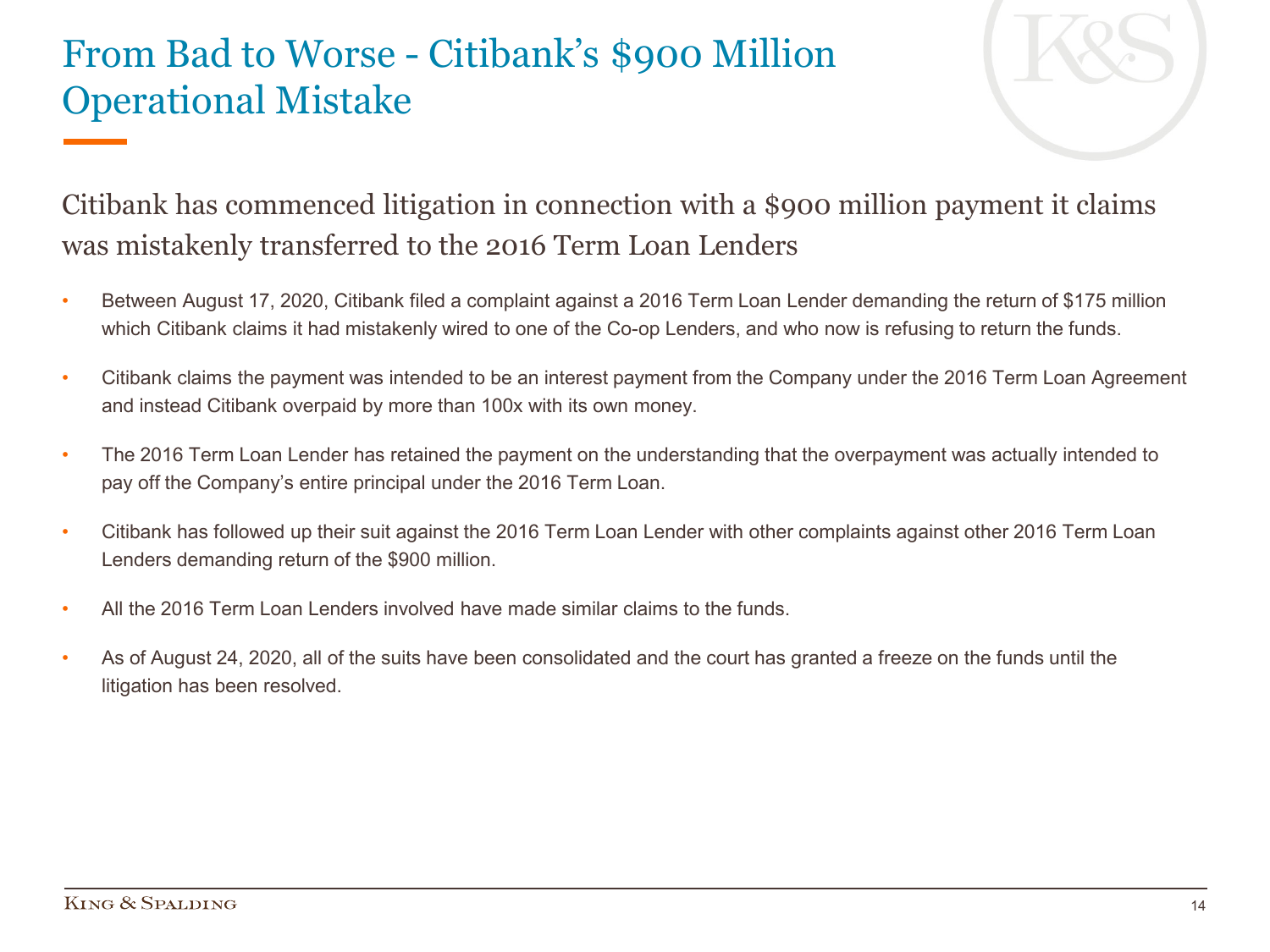#### From Bad to Worse - Citibank's \$900 Million Operational Mistake



#### Citibank has commenced litigation in connection with a \$900 million payment it claims was mistakenly transferred to the 2016 Term Loan Lenders

- Between August 17, 2020, Citibank filed a complaint against a 2016 Term Loan Lender demanding the return of \$175 million which Citibank claims it had mistakenly wired to one of the Co-op Lenders, and who now is refusing to return the funds.
- Citibank claims the payment was intended to be an interest payment from the Company under the 2016 Term Loan Agreement and instead Citibank overpaid by more than 100x with its own money.
- The 2016 Term Loan Lender has retained the payment on the understanding that the overpayment was actually intended to pay off the Company's entire principal under the 2016 Term Loan.
- Citibank has followed up their suit against the 2016 Term Loan Lender with other complaints against other 2016 Term Loan Lenders demanding return of the \$900 million.
- All the 2016 Term Loan Lenders involved have made similar claims to the funds.
- As of August 24, 2020, all of the suits have been consolidated and the court has granted a freeze on the funds until the litigation has been resolved.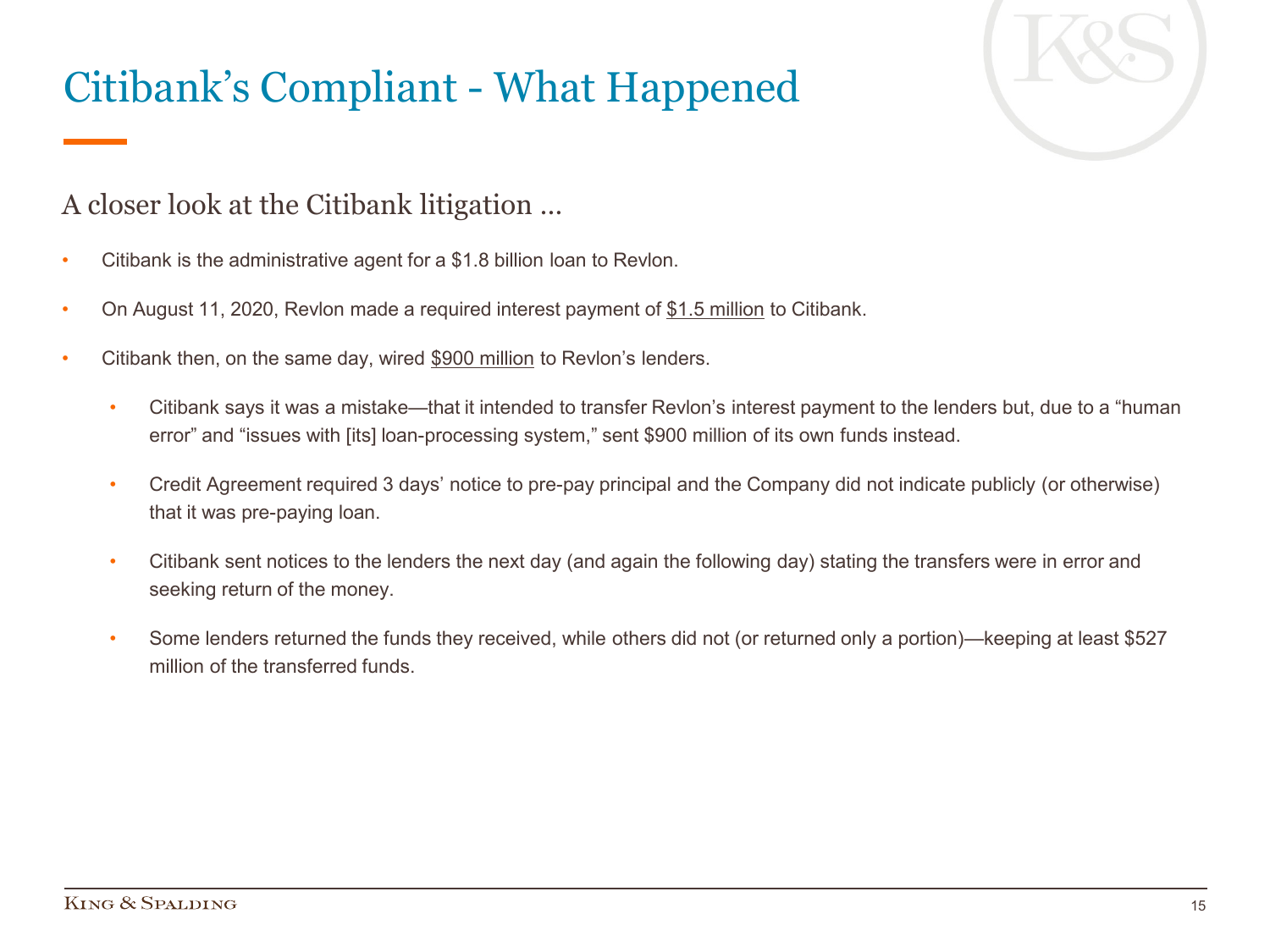# Citibank's Compliant - What Happened



#### A closer look at the Citibank litigation …

- Citibank is the administrative agent for a \$1.8 billion loan to Revlon.
- On August 11, 2020, Revlon made a required interest payment of \$1.5 million to Citibank.
- Citibank then, on the same day, wired \$900 million to Revlon's lenders.
	- Citibank says it was a mistake—that it intended to transfer Revlon's interest payment to the lenders but, due to a "human error" and "issues with [its] loan-processing system," sent \$900 million of its own funds instead.
	- Credit Agreement required 3 days' notice to pre-pay principal and the Company did not indicate publicly (or otherwise) that it was pre-paying loan.
	- Citibank sent notices to the lenders the next day (and again the following day) stating the transfers were in error and seeking return of the money.
	- Some lenders returned the funds they received, while others did not (or returned only a portion)—keeping at least \$527 million of the transferred funds.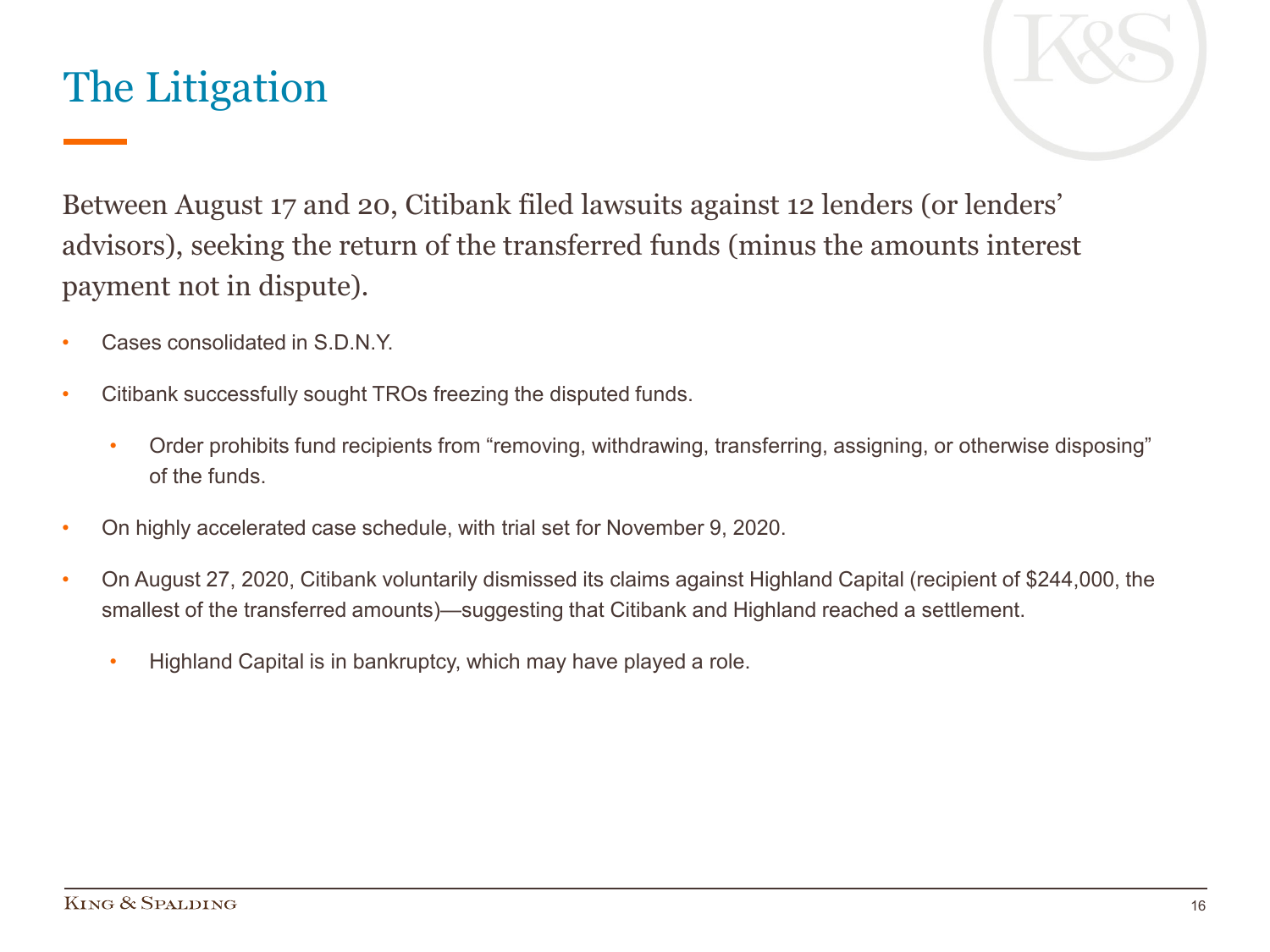### The Litigation



Between August 17 and 20, Citibank filed lawsuits against 12 lenders (or lenders' advisors), seeking the return of the transferred funds (minus the amounts interest payment not in dispute).

- Cases consolidated in S.D.N.Y.
- Citibank successfully sought TROs freezing the disputed funds.
	- Order prohibits fund recipients from "removing, withdrawing, transferring, assigning, or otherwise disposing" of the funds.
- On highly accelerated case schedule, with trial set for November 9, 2020.
- On August 27, 2020, Citibank voluntarily dismissed its claims against Highland Capital (recipient of \$244,000, the smallest of the transferred amounts)—suggesting that Citibank and Highland reached a settlement.
	- Highland Capital is in bankruptcy, which may have played a role.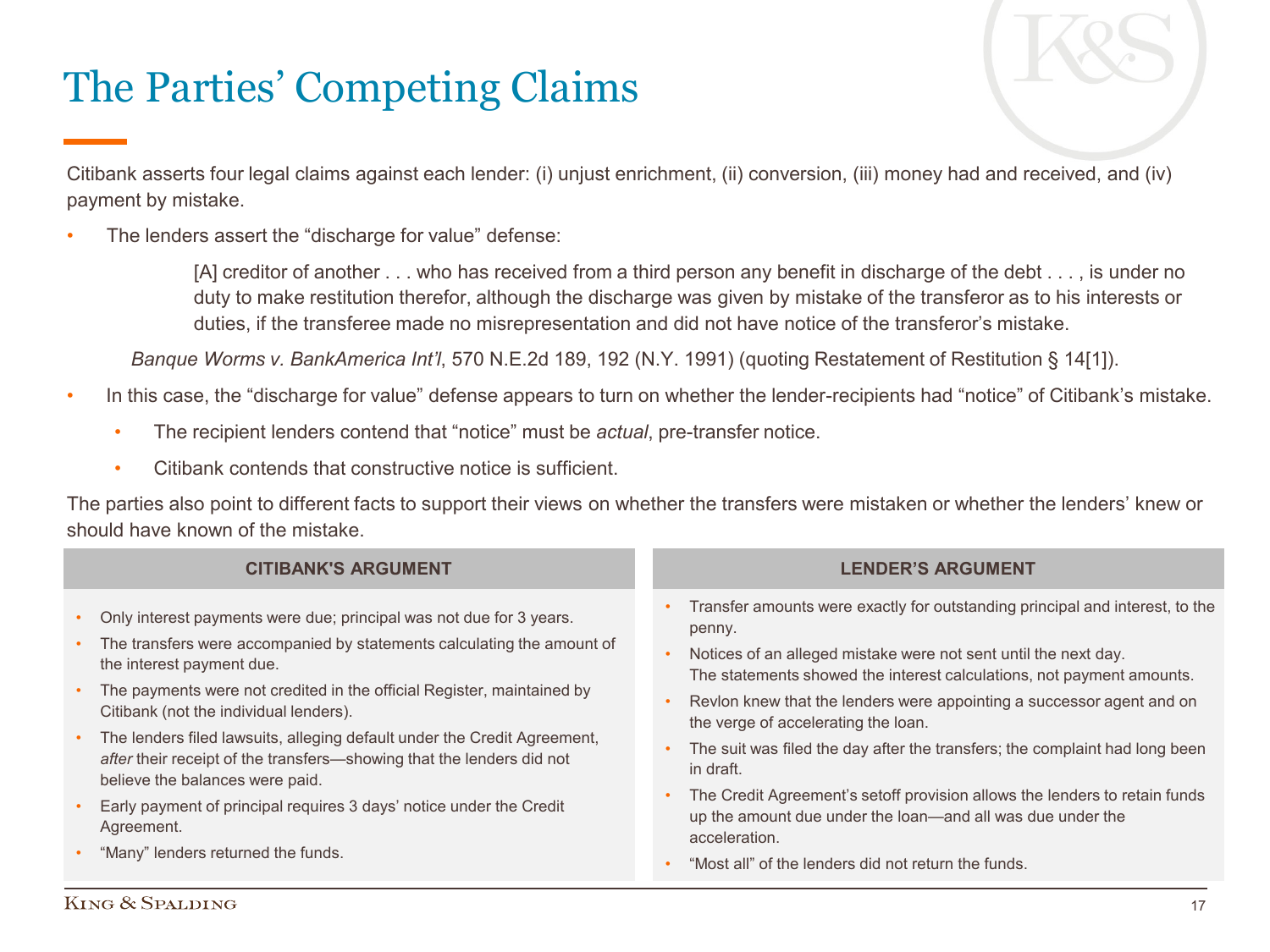# The Parties' Competing Claims

Citibank asserts four legal claims against each lender: (i) unjust enrichment, (ii) conversion, (iii) money had and received, and (iv) payment by mistake.

The lenders assert the "discharge for value" defense:

[A] creditor of another . . . who has received from a third person any benefit in discharge of the debt . . . , is under no duty to make restitution therefor, although the discharge was given by mistake of the transferor as to his interests or duties, if the transferee made no misrepresentation and did not have notice of the transferor's mistake.

*Banque Worms v. BankAmerica Int'l*, 570 N.E.2d 189, 192 (N.Y. 1991) (quoting Restatement of Restitution § 14[1]).

- In this case, the "discharge for value" defense appears to turn on whether the lender-recipients had "notice" of Citibank's mistake.
	- The recipient lenders contend that "notice" must be *actual*, pre-transfer notice.
	- Citibank contends that constructive notice is sufficient.

The parties also point to different facts to support their views on whether the transfers were mistaken or whether the lenders' knew or should have known of the mistake.

| <b>CITIBANK'S ARGUMENT</b>          |                                                                                                                                                                                                                                                                                                |  | <b>LENDER'S ARGUMENT</b>                                                                                                                                                                                                                                                                                                                           |
|-------------------------------------|------------------------------------------------------------------------------------------------------------------------------------------------------------------------------------------------------------------------------------------------------------------------------------------------|--|----------------------------------------------------------------------------------------------------------------------------------------------------------------------------------------------------------------------------------------------------------------------------------------------------------------------------------------------------|
| $\bullet$<br>$\bullet$<br>$\bullet$ | Only interest payments were due; principal was not due for 3 years.<br>The transfers were accompanied by statements calculating the amount of<br>the interest payment due.<br>The payments were not credited in the official Register, maintained by<br>Citibank (not the individual lenders). |  | Transfer amounts were exactly for outstanding principal and interest, to the<br>penny.<br>Notices of an alleged mistake were not sent until the next day.<br>The statements showed the interest calculations, not payment amounts.<br>Revlon knew that the lenders were appointing a successor agent and on<br>the verge of accelerating the loan. |
| $\bullet$                           | • The lenders filed lawsuits, alleging default under the Credit Agreement,<br>after their receipt of the transfers—showing that the lenders did not<br>believe the balances were paid.<br>Early payment of principal requires 3 days' notice under the Credit<br>Agreement.                    |  | The suit was filed the day after the transfers; the complaint had long been<br>in draft.<br>The Credit Agreement's setoff provision allows the lenders to retain funds<br>up the amount due under the loan-and all was due under the                                                                                                               |
| $\bullet$                           | "Many" lenders returned the funds.                                                                                                                                                                                                                                                             |  | acceleration.<br>"Most all" of the lenders did not return the funds.                                                                                                                                                                                                                                                                               |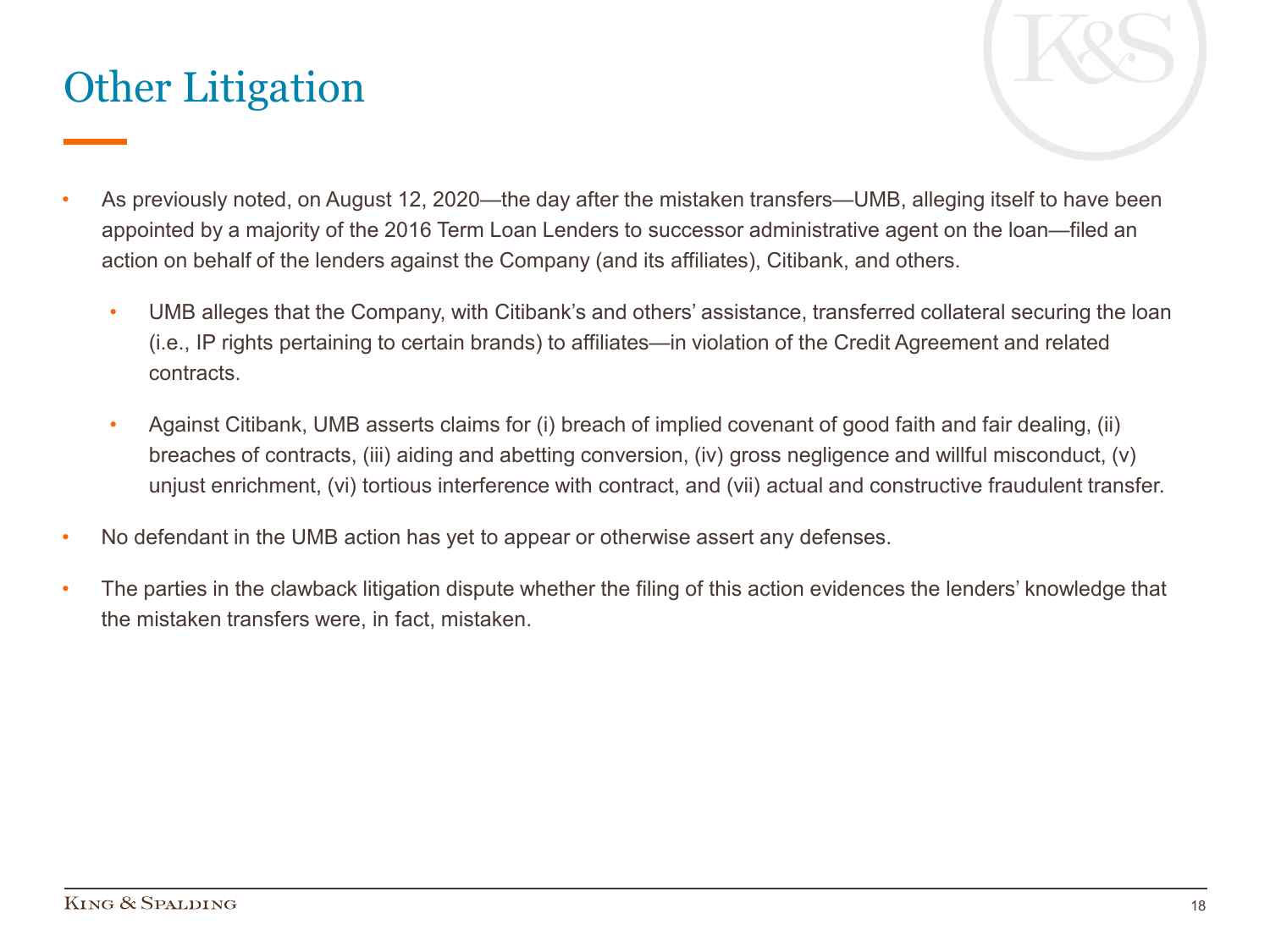# Other Litigation



- As previously noted, on August 12, 2020—the day after the mistaken transfers—UMB, alleging itself to have been appointed by a majority of the 2016 Term Loan Lenders to successor administrative agent on the loan—filed an action on behalf of the lenders against the Company (and its affiliates), Citibank, and others.
	- UMB alleges that the Company, with Citibank's and others' assistance, transferred collateral securing the loan (i.e., IP rights pertaining to certain brands) to affiliates—in violation of the Credit Agreement and related contracts.
	- Against Citibank, UMB asserts claims for (i) breach of implied covenant of good faith and fair dealing, (ii) breaches of contracts, (iii) aiding and abetting conversion, (iv) gross negligence and willful misconduct, (v) unjust enrichment, (vi) tortious interference with contract, and (vii) actual and constructive fraudulent transfer.
- No defendant in the UMB action has yet to appear or otherwise assert any defenses.
- The parties in the clawback litigation dispute whether the filing of this action evidences the lenders' knowledge that the mistaken transfers were, in fact, mistaken.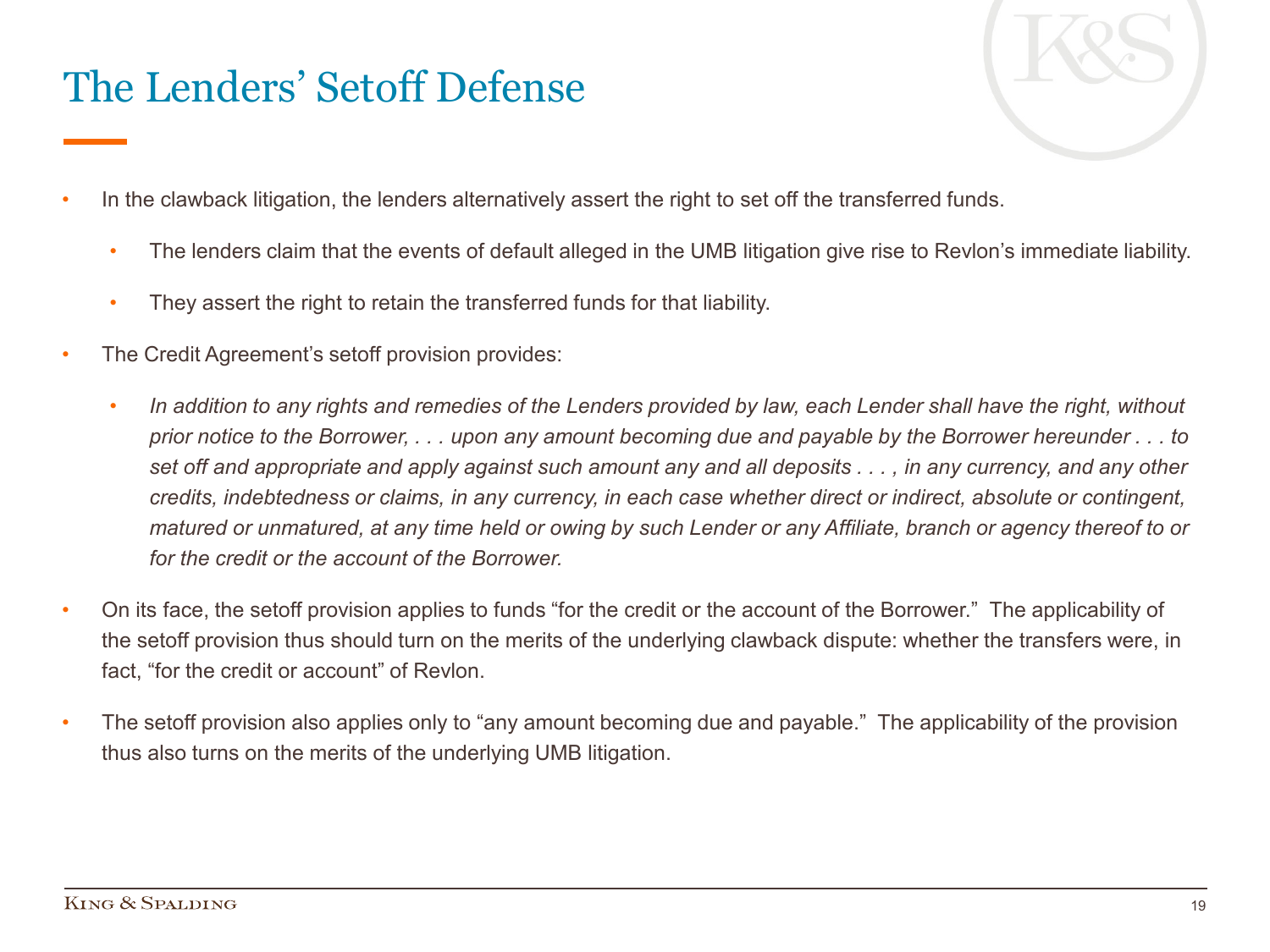# The Lenders' Setoff Defense



- In the clawback litigation, the lenders alternatively assert the right to set off the transferred funds.
	- The lenders claim that the events of default alleged in the UMB litigation give rise to Revlon's immediate liability.
	- They assert the right to retain the transferred funds for that liability.
- The Credit Agreement's setoff provision provides:
	- *In addition to any rights and remedies of the Lenders provided by law, each Lender shall have the right, without prior notice to the Borrower, . . . upon any amount becoming due and payable by the Borrower hereunder . . . to set off and appropriate and apply against such amount any and all deposits . . . , in any currency, and any other credits, indebtedness or claims, in any currency, in each case whether direct or indirect, absolute or contingent, matured or unmatured, at any time held or owing by such Lender or any Affiliate, branch or agency thereof to or for the credit or the account of the Borrower.*
- On its face, the setoff provision applies to funds "for the credit or the account of the Borrower." The applicability of the setoff provision thus should turn on the merits of the underlying clawback dispute: whether the transfers were, in fact, "for the credit or account" of Revlon.
- The setoff provision also applies only to "any amount becoming due and payable." The applicability of the provision thus also turns on the merits of the underlying UMB litigation.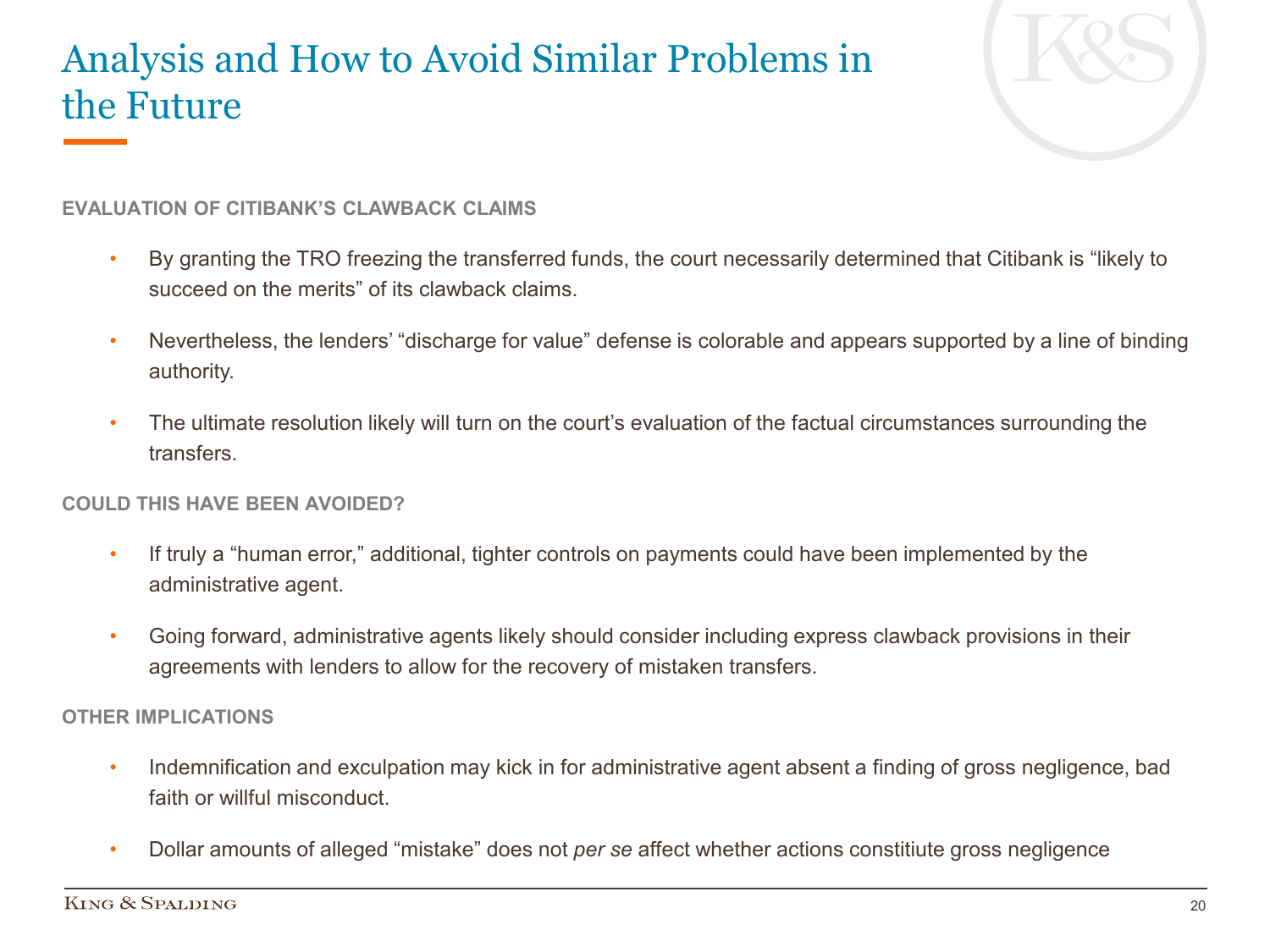#### Analysis and How to Avoid Similar Problems in the Future



#### **EVALUATION OF CITIBANK'S CLAWBACK CLAIMS**

- By granting the TRO freezing the transferred funds, the court necessarily determined that Citibank is "likely to succeed on the merits" of its clawback claims.
- Nevertheless, the lenders' "discharge for value" defense is colorable and appears supported by a line of binding authority.
- The ultimate resolution likely will turn on the court's evaluation of the factual circumstances surrounding the **transfers**

#### **COULD THIS HAVE BEEN AVOIDED?**

- If truly a "human error," additional, tighter controls on payments could have been implemented by the administrative agent.
- Going forward, administrative agents likely should consider including express clawback provisions in their agreements with lenders to allow for the recovery of mistaken transfers.

#### **OTHER IMPLICATIONS**

- Indemnification and exculpation may kick in for administrative agent absent a finding of gross negligence, bad faith or willful misconduct.
- Dollar amounts of alleged "mistake" does not *per se* affect whether actions constitiute gross negligence